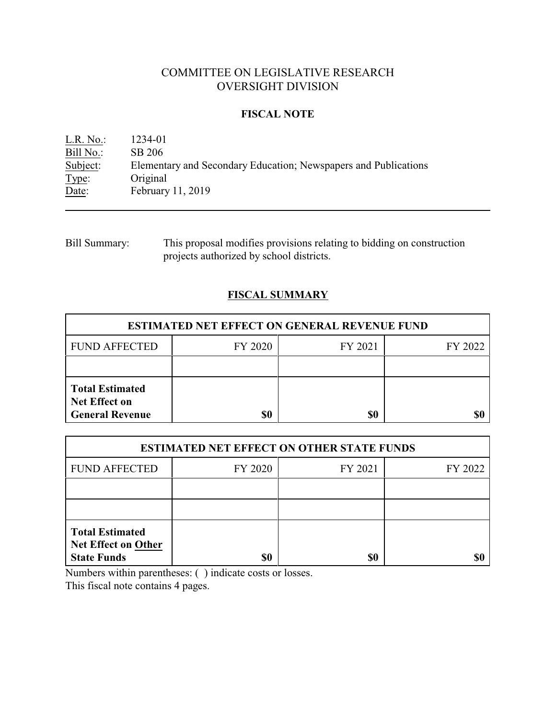# COMMITTEE ON LEGISLATIVE RESEARCH OVERSIGHT DIVISION

## **FISCAL NOTE**

L.R. No.: 1234-01<br>Bill No.: SB 206 Bill No.:<br>Subject: Elementary and Secondary Education; Newspapers and Publications Type: Original<br>Date: February February 11, 2019

| <b>Bill Summary:</b> | This proposal modifies provisions relating to bidding on construction |
|----------------------|-----------------------------------------------------------------------|
|                      | projects authorized by school districts.                              |

## **FISCAL SUMMARY**

| <b>ESTIMATED NET EFFECT ON GENERAL REVENUE FUND</b>                      |         |         |         |  |  |
|--------------------------------------------------------------------------|---------|---------|---------|--|--|
| <b>FUND AFFECTED</b>                                                     | FY 2020 | FY 2021 | FY 2022 |  |  |
|                                                                          |         |         |         |  |  |
| <b>Total Estimated</b><br><b>Net Effect on</b><br><b>General Revenue</b> | \$0     | \$0     |         |  |  |

| <b>ESTIMATED NET EFFECT ON OTHER STATE FUNDS</b>                           |         |         |         |  |  |
|----------------------------------------------------------------------------|---------|---------|---------|--|--|
| <b>FUND AFFECTED</b>                                                       | FY 2020 | FY 2021 | FY 2022 |  |  |
|                                                                            |         |         |         |  |  |
|                                                                            |         |         |         |  |  |
| <b>Total Estimated</b><br><b>Net Effect on Other</b><br><b>State Funds</b> | \$0     | \$0     |         |  |  |

Numbers within parentheses: ( ) indicate costs or losses.

This fiscal note contains 4 pages.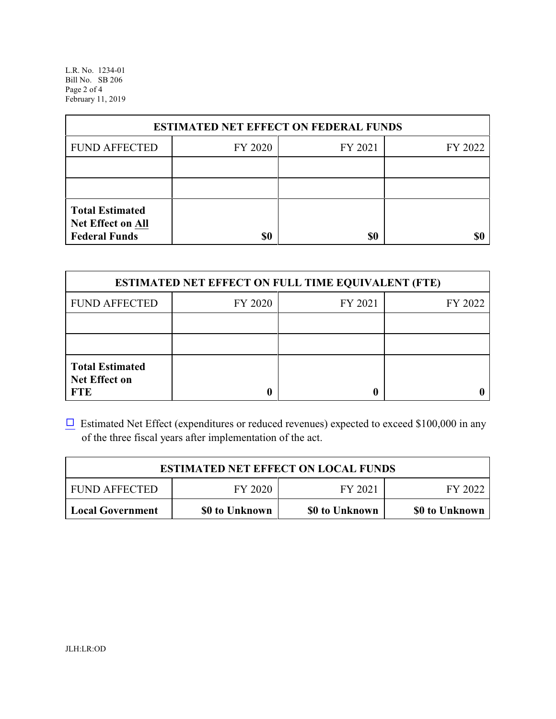L.R. No. 1234-01 Bill No. SB 206 Page 2 of 4 February 11, 2019

| <b>ESTIMATED NET EFFECT ON FEDERAL FUNDS</b>                        |         |         |         |  |  |
|---------------------------------------------------------------------|---------|---------|---------|--|--|
| <b>FUND AFFECTED</b>                                                | FY 2020 | FY 2021 | FY 2022 |  |  |
|                                                                     |         |         |         |  |  |
|                                                                     |         |         |         |  |  |
| <b>Total Estimated</b><br>Net Effect on All<br><b>Federal Funds</b> | \$0     | \$0     |         |  |  |

| <b>ESTIMATED NET EFFECT ON FULL TIME EQUIVALENT (FTE)</b>    |         |         |         |  |  |
|--------------------------------------------------------------|---------|---------|---------|--|--|
| <b>FUND AFFECTED</b>                                         | FY 2020 | FY 2021 | FY 2022 |  |  |
|                                                              |         |         |         |  |  |
|                                                              |         |         |         |  |  |
| <b>Total Estimated</b><br><b>Net Effect on</b><br><b>FTE</b> |         |         |         |  |  |

 $\Box$  Estimated Net Effect (expenditures or reduced revenues) expected to exceed \$100,000 in any of the three fiscal years after implementation of the act.

| <b>ESTIMATED NET EFFECT ON LOCAL FUNDS</b> |                |                |                |  |
|--------------------------------------------|----------------|----------------|----------------|--|
| <b>FUND AFFECTED</b>                       | FY 2022        |                |                |  |
| <b>Local Government</b>                    | \$0 to Unknown | \$0 to Unknown | \$0 to Unknown |  |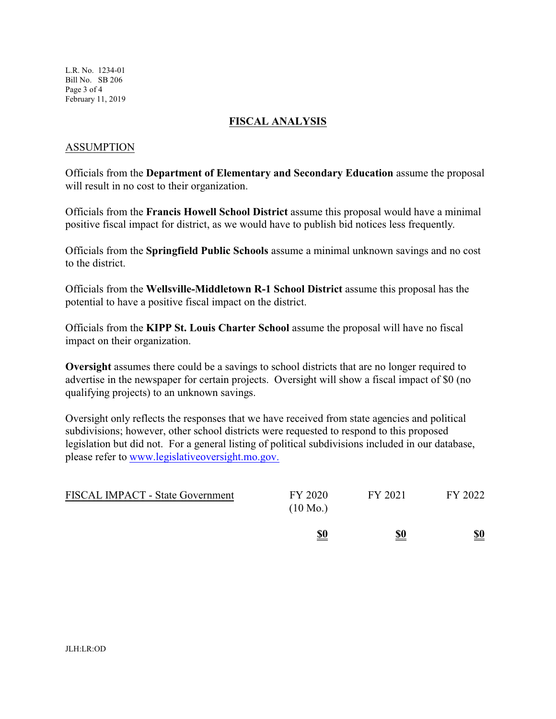L.R. No. 1234-01 Bill No. SB 206 Page 3 of 4 February 11, 2019

### **FISCAL ANALYSIS**

### ASSUMPTION

Officials from the **Department of Elementary and Secondary Education** assume the proposal will result in no cost to their organization.

Officials from the **Francis Howell School District** assume this proposal would have a minimal positive fiscal impact for district, as we would have to publish bid notices less frequently.

Officials from the **Springfield Public Schools** assume a minimal unknown savings and no cost to the district.

Officials from the **Wellsville-Middletown R-1 School District** assume this proposal has the potential to have a positive fiscal impact on the district.

Officials from the **KIPP St. Louis Charter School** assume the proposal will have no fiscal impact on their organization.

**Oversight** assumes there could be a savings to school districts that are no longer required to advertise in the newspaper for certain projects. Oversight will show a fiscal impact of \$0 (no qualifying projects) to an unknown savings.

Oversight only reflects the responses that we have received from state agencies and political subdivisions; however, other school districts were requested to respond to this proposed legislation but did not. For a general listing of political subdivisions included in our database, please refer to [www.legislativeoversight.mo.gov.](http://www.legislativeoversight.mo.gov.)

|                                  | \$0                           | \$0     | \$0     |
|----------------------------------|-------------------------------|---------|---------|
| FISCAL IMPACT - State Government | FY 2020<br>$(10 \text{ Mo.})$ | FY 2021 | FY 2022 |